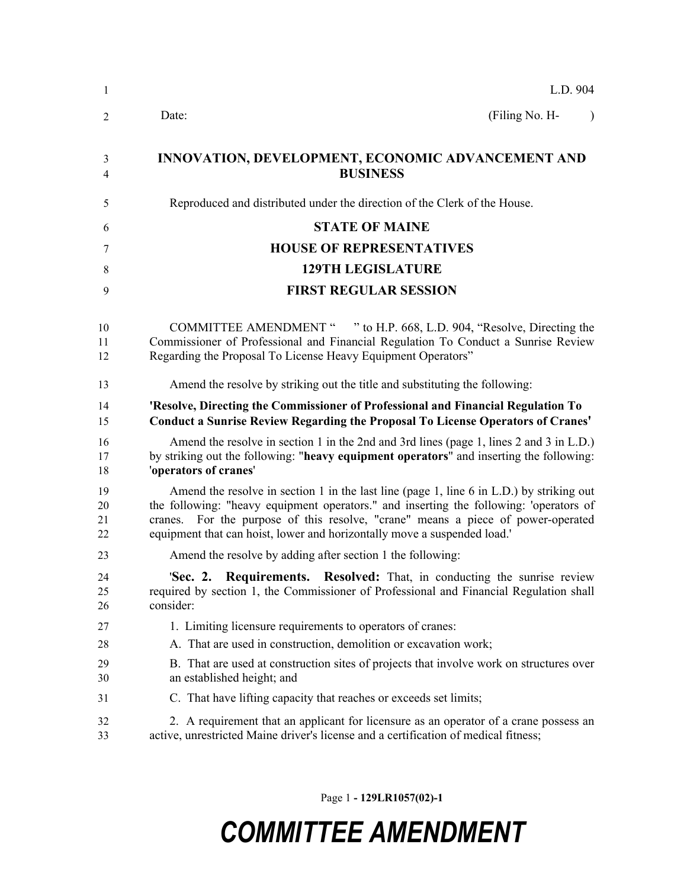| $\mathbf{1}$         | L.D. 904                                                                                                                                                                                                                                                                                                                                              |
|----------------------|-------------------------------------------------------------------------------------------------------------------------------------------------------------------------------------------------------------------------------------------------------------------------------------------------------------------------------------------------------|
| $\overline{2}$       | (Filing No. H-<br>Date:<br>$\lambda$                                                                                                                                                                                                                                                                                                                  |
| 3<br>$\overline{4}$  | INNOVATION, DEVELOPMENT, ECONOMIC ADVANCEMENT AND<br><b>BUSINESS</b>                                                                                                                                                                                                                                                                                  |
| 5                    | Reproduced and distributed under the direction of the Clerk of the House.                                                                                                                                                                                                                                                                             |
| 6                    | <b>STATE OF MAINE</b>                                                                                                                                                                                                                                                                                                                                 |
| 7                    | <b>HOUSE OF REPRESENTATIVES</b>                                                                                                                                                                                                                                                                                                                       |
| 8                    | <b>129TH LEGISLATURE</b>                                                                                                                                                                                                                                                                                                                              |
| 9                    | <b>FIRST REGULAR SESSION</b>                                                                                                                                                                                                                                                                                                                          |
| 10<br>11<br>12       | COMMITTEE AMENDMENT " " to H.P. 668, L.D. 904, "Resolve, Directing the<br>Commissioner of Professional and Financial Regulation To Conduct a Sunrise Review<br>Regarding the Proposal To License Heavy Equipment Operators"                                                                                                                           |
| 13                   | Amend the resolve by striking out the title and substituting the following:                                                                                                                                                                                                                                                                           |
| 14<br>15             | 'Resolve, Directing the Commissioner of Professional and Financial Regulation To<br><b>Conduct a Sunrise Review Regarding the Proposal To License Operators of Cranes'</b>                                                                                                                                                                            |
| 16<br>17<br>18       | Amend the resolve in section 1 in the 2nd and 3rd lines (page 1, lines 2 and 3 in L.D.)<br>by striking out the following: "heavy equipment operators" and inserting the following:<br>'operators of cranes'                                                                                                                                           |
| 19<br>20<br>21<br>22 | Amend the resolve in section 1 in the last line (page 1, line 6 in L.D.) by striking out<br>the following: "heavy equipment operators." and inserting the following: 'operators of<br>For the purpose of this resolve, "crane" means a piece of power-operated<br>cranes.<br>equipment that can hoist, lower and horizontally move a suspended load.' |
| 23                   | Amend the resolve by adding after section 1 the following:                                                                                                                                                                                                                                                                                            |
| 24<br>25<br>26       | Resolved: That, in conducting the sunrise review<br>'Sec. 2.<br>Requirements.<br>required by section 1, the Commissioner of Professional and Financial Regulation shall<br>consider:                                                                                                                                                                  |
| 27                   | 1. Limiting licensure requirements to operators of cranes:                                                                                                                                                                                                                                                                                            |
| 28                   | A. That are used in construction, demolition or excavation work;                                                                                                                                                                                                                                                                                      |
| 29<br>30             | B. That are used at construction sites of projects that involve work on structures over<br>an established height; and                                                                                                                                                                                                                                 |
| 31                   | C. That have lifting capacity that reaches or exceeds set limits;                                                                                                                                                                                                                                                                                     |
| 32<br>33             | 2. A requirement that an applicant for licensure as an operator of a crane possess an<br>active, unrestricted Maine driver's license and a certification of medical fitness;                                                                                                                                                                          |

Page 1 **- 129LR1057(02)-1**

## *COMMITTEE AMENDMENT*